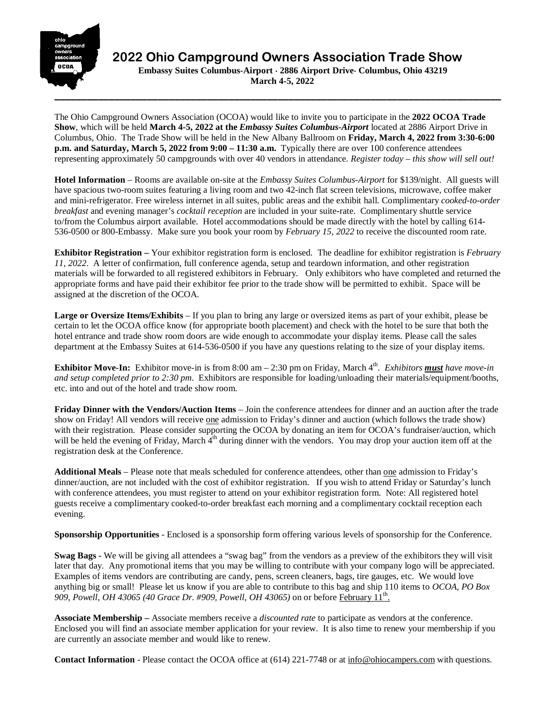

 **2022 Ohio Campground Owners Association Trade Show**

 **Embassy Suites Columbus-Airport** ⋅ **2886 Airport Drive**⋅ **Columbus, Ohio 43219 March 4-5, 2022**

The Ohio Campground Owners Association (OCOA) would like to invite you to participate in the **2022 OCOA Trade Show**, which will be held **March 4-5, 2022 at the** *Embassy Suites Columbus-Airport* located at 2886 Airport Drive in Columbus, Ohio. The Trade Show will be held in the New Albany Ballroom on **Friday, March 4, 2022 from 3:30-6:00 p.m. and Saturday, March 5, 2022 from 9:00 – 11:30 a.m.** Typically there are over 100 conference attendees representing approximately 50 campgrounds with over 40 vendors in attendance. *Register today – this show will sell out!* 

**Hotel Information** – Rooms are available on-site at the *Embassy Suites Columbus-Airport* for \$139/night. All guests will have spacious two-room suites featuring a living room and two 42-inch flat screen televisions, microwave, coffee maker and mini-refrigerator. Free wireless internet in all suites, public areas and the exhibit hall. Complimentary *cooked-to-order breakfast* and evening manager's *cocktail reception* are included in your suite-rate. Complimentary shuttle service to/from the Columbus airport available. Hotel accommodations should be made directly with the hotel by calling 614- 536-0500 or 800-Embassy. Make sure you book your room by *February 15, 2022* to receive the discounted room rate.

**Exhibitor Registration –** Your exhibitor registration form is enclosed. The deadline for exhibitor registration is *February 11, 2022*. A letter of confirmation, full conference agenda, setup and teardown information, and other registration materials will be forwarded to all registered exhibitors in February. Only exhibitors who have completed and returned the appropriate forms and have paid their exhibitor fee prior to the trade show will be permitted to exhibit. Space will be assigned at the discretion of the OCOA.

**Large or Oversize Items/Exhibits** – If you plan to bring any large or oversized items as part of your exhibit, please be certain to let the OCOA office know (for appropriate booth placement) and check with the hotel to be sure that both the hotel entrance and trade show room doors are wide enough to accommodate your display items. Please call the sales department at the Embassy Suites at 614-536-0500 if you have any questions relating to the size of your display items.

**Exhibitor Move-In:** Exhibitor move-in is from 8:00 am – 2:30 pm on Friday, March 4<sup>th</sup>. *Exhibitors must have move-in and setup completed prior to 2:30 pm*. Exhibitors are responsible for loading/unloading their materials/equipment/booths, etc. into and out of the hotel and trade show room.

**Friday Dinner with the Vendors/Auction Items** – Join the conference attendees for dinner and an auction after the trade show on Friday! All vendors will receive one admission to Friday's dinner and auction (which follows the trade show) with their registration. Please consider supporting the OCOA by donating an item for OCOA's fundraiser/auction, which will be held the evening of Friday, March  $4<sup>th</sup>$  during dinner with the vendors. You may drop your auction item off at the registration desk at the Conference.

**Additional Meals** – Please note that meals scheduled for conference attendees, other than one admission to Friday's dinner/auction, are not included with the cost of exhibitor registration. If you wish to attend Friday or Saturday's lunch with conference attendees, you must register to attend on your exhibitor registration form. Note: All registered hotel guests receive a complimentary cooked-to-order breakfast each morning and a complimentary cocktail reception each evening.

**Sponsorship Opportunities** - Enclosed is a sponsorship form offering various levels of sponsorship for the Conference.

**Swag Bags -** We will be giving all attendees a "swag bag" from the vendors as a preview of the exhibitors they will visit later that day. Any promotional items that you may be willing to contribute with your company logo will be appreciated. Examples of items vendors are contributing are candy, pens, screen cleaners, bags, tire gauges, etc. We would love anything big or small! Please let us know if you are able to contribute to this bag and ship 110 items to *OCOA, PO Box 909, Powell, OH 43065 (40 Grace Dr. #909, Powell, OH 43065)* on or before February 11th.

**Associate Membership –** Associate members receive a *discounted rate* to participate as vendors at the conference. Enclosed you will find an associate member application for your review. It is also time to renew your membership if you are currently an associate member and would like to renew.

**Contact Information** - Please contact the OCOA office at (614) 221-7748 or at [info@ohiocampers.com](mailto:info@ohiocampers.com) with questions.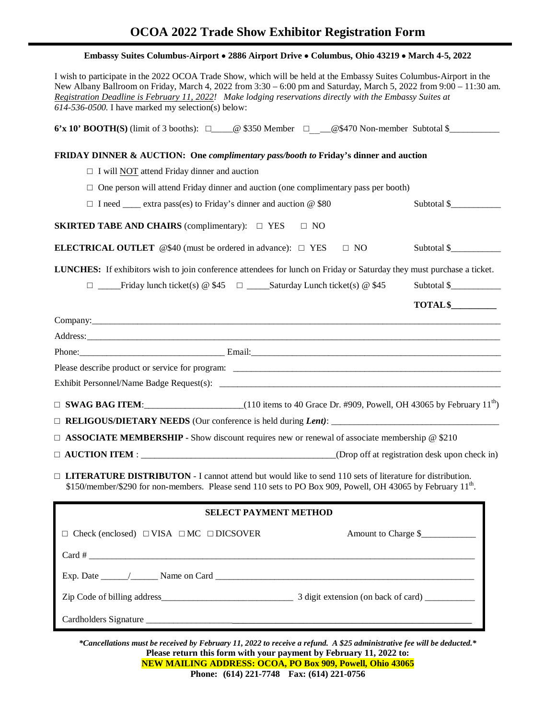# **OCOA 2022 Trade Show Exhibitor Registration Form**

| I wish to participate in the 2022 OCOA Trade Show, which will be held at the Embassy Suites Columbus-Airport in the<br>New Albany Ballroom on Friday, March 4, 2022 from 3:30 - 6:00 pm and Saturday, March 5, 2022 from 9:00 - 11:30 am.<br>Registration Deadline is February 11, 2022! Make lodging reservations directly with the Embassy Suites at<br>614-536-0500. I have marked my selection(s) below: |  |  |  |
|--------------------------------------------------------------------------------------------------------------------------------------------------------------------------------------------------------------------------------------------------------------------------------------------------------------------------------------------------------------------------------------------------------------|--|--|--|
| 6'x 10' BOOTH(S) (limit of 3 booths): $\square$ @ \$350 Member $\square$ _ @\$470 Non-member Subtotal \$________                                                                                                                                                                                                                                                                                             |  |  |  |
| <b>FRIDAY DINNER &amp; AUCTION:</b> One <i>complimentary pass/booth to</i> Friday's dinner and auction                                                                                                                                                                                                                                                                                                       |  |  |  |
| $\Box$ I will NOT attend Friday dinner and auction                                                                                                                                                                                                                                                                                                                                                           |  |  |  |
| $\Box$ One person will attend Friday dinner and auction (one complimentary pass per booth)                                                                                                                                                                                                                                                                                                                   |  |  |  |
| $\Box$ I need ______ extra pass(es) to Friday's dinner and auction @ \$80<br>Subtotal \$                                                                                                                                                                                                                                                                                                                     |  |  |  |
| <b>SKIRTED TABE AND CHAIRS</b> (complimentary): $\Box$ YES<br>$\Box$ NO                                                                                                                                                                                                                                                                                                                                      |  |  |  |
| Subtotal \$<br><b>ELECTRICAL OUTLET</b> $@$40$ (must be ordered in advance): $\square$ YES<br>$\Box$ NO                                                                                                                                                                                                                                                                                                      |  |  |  |
| LUNCHES: If exhibitors wish to join conference attendees for lunch on Friday or Saturday they must purchase a ticket.                                                                                                                                                                                                                                                                                        |  |  |  |
| Subtotal \$<br>$\Box$ Friday lunch ticket(s) @ \$45 $\Box$ Saturday Lunch ticket(s) @ \$45                                                                                                                                                                                                                                                                                                                   |  |  |  |
| TOTAL <sup>\$</sup>                                                                                                                                                                                                                                                                                                                                                                                          |  |  |  |
|                                                                                                                                                                                                                                                                                                                                                                                                              |  |  |  |
|                                                                                                                                                                                                                                                                                                                                                                                                              |  |  |  |
| Phone: Email: Email: Email: Email: Email: Email: Email: Email: Email: Email: Email: Email: Email: Email: Email: Email: Email: Email: Email: Email: Email: Email: Email: Email: Email: Email: Email: Email: Email: Email: Email                                                                                                                                                                               |  |  |  |
|                                                                                                                                                                                                                                                                                                                                                                                                              |  |  |  |
|                                                                                                                                                                                                                                                                                                                                                                                                              |  |  |  |
| $\Box$ SWAG BAG ITEM: (110 items to 40 Grace Dr. #909, Powell, OH 43065 by February 11 <sup>th</sup> )                                                                                                                                                                                                                                                                                                       |  |  |  |
|                                                                                                                                                                                                                                                                                                                                                                                                              |  |  |  |
| $\Box$ <b>ASSOCIATE MEMBERSHIP -</b> Show discount requires new or renewal of associate membership @ \$210                                                                                                                                                                                                                                                                                                   |  |  |  |
| (Drop off at registration desk upon check in)                                                                                                                                                                                                                                                                                                                                                                |  |  |  |
| $\Box$ <b>LITERATURE DISTRIBUTON</b> - I cannot attend but would like to send 110 sets of literature for distribution.<br>\$150/member/\$290 for non-members. Please send 110 sets to PO Box 909, Powell, OH 43065 by February 11 <sup>th</sup> .                                                                                                                                                            |  |  |  |
| <b>SELECT PAYMENT METHOD</b>                                                                                                                                                                                                                                                                                                                                                                                 |  |  |  |
| Amount to Charge \$<br>$\Box$ Check (enclosed) $\Box$ VISA $\Box$ MC $\Box$ DICSOVER                                                                                                                                                                                                                                                                                                                         |  |  |  |
|                                                                                                                                                                                                                                                                                                                                                                                                              |  |  |  |
|                                                                                                                                                                                                                                                                                                                                                                                                              |  |  |  |
|                                                                                                                                                                                                                                                                                                                                                                                                              |  |  |  |
|                                                                                                                                                                                                                                                                                                                                                                                                              |  |  |  |

*\*Cancellations must be received by February 11, 2022 to receive a refund. A \$25 administrative fee will be deducted.\**  **Please return this form with your payment by February 11, 2022 to: NEW MAILING ADDRESS: OCOA, PO Box 909, Powell, Ohio 43065 Phone: (614) 221-7748 Fax: (614) 221-0756**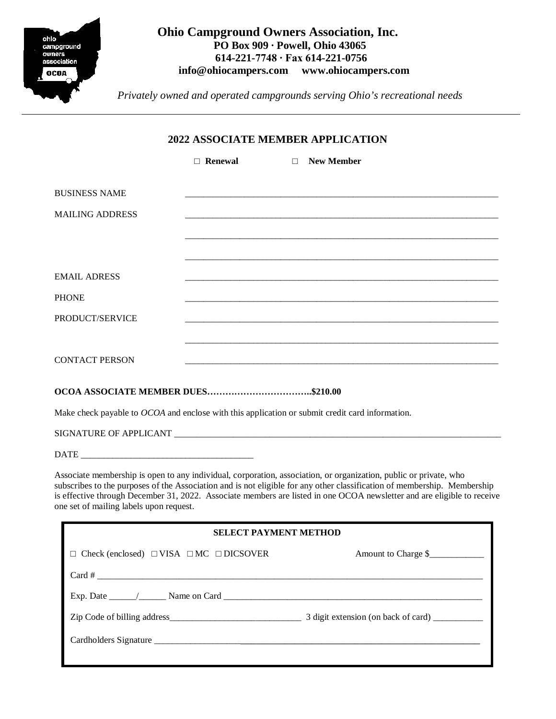

# **Ohio Campground Owners Association, Inc. PO Box 909 ∙ Powell, Ohio 43065 614-221-7748 ∙ Fax 614-221-0756 [info@ohiocampers.com](mailto:info@ohiocampers.com) [www.ohiocampers.com](http://www.ohiocampers.com/)**

 *Privately owned and operated campgrounds serving Ohio's recreational needs*

# **2022 ASSOCIATE MEMBER APPLICATION**

|                        | $\Box$ Renewal | <b>New Member</b><br>$\Box$ |
|------------------------|----------------|-----------------------------|
| <b>BUSINESS NAME</b>   |                |                             |
| <b>MAILING ADDRESS</b> |                |                             |
|                        |                |                             |
| <b>EMAIL ADRESS</b>    |                |                             |
| <b>PHONE</b>           |                |                             |
| PRODUCT/SERVICE        |                |                             |
|                        |                |                             |
| <b>CONTACT PERSON</b>  |                |                             |
|                        |                |                             |

### **OCOA ASSOCIATE MEMBER DUES……………………………..\$210.00**

Make check payable to *OCOA* and enclose with this application or submit credit card information.

SIGNATURE OF APPLICANT \_\_\_\_\_\_\_\_\_\_\_\_\_\_\_\_\_\_\_\_\_\_\_\_\_\_\_\_\_\_\_\_\_\_\_\_\_\_\_\_\_\_\_\_\_\_\_\_\_\_\_\_\_\_\_\_\_\_\_\_\_\_\_\_\_\_\_\_\_\_\_\_

 $\text{DATE}$ 

Associate membership is open to any individual, corporation, association, or organization, public or private, who subscribes to the purposes of the Association and is not eligible for any other classification of membership. Membership is effective through December 31, 2022. Associate members are listed in one OCOA newsletter and are eligible to receive one set of mailing labels upon request.

| <b>SELECT PAYMENT METHOD</b>                                                  |                     |  |  |
|-------------------------------------------------------------------------------|---------------------|--|--|
| $\Box$ Check (enclosed) $\Box$ VISA $\Box$ MC $\Box$ DICSOVER                 | Amount to Charge \$ |  |  |
| $Card \#$                                                                     |                     |  |  |
| Exp. Date $\_\_\_\_\_\_\$ Name on Card $\_\_\_\_\_\_\_\_\_\_\_\_\_\_\_\_\_\_$ |                     |  |  |
|                                                                               |                     |  |  |
|                                                                               |                     |  |  |